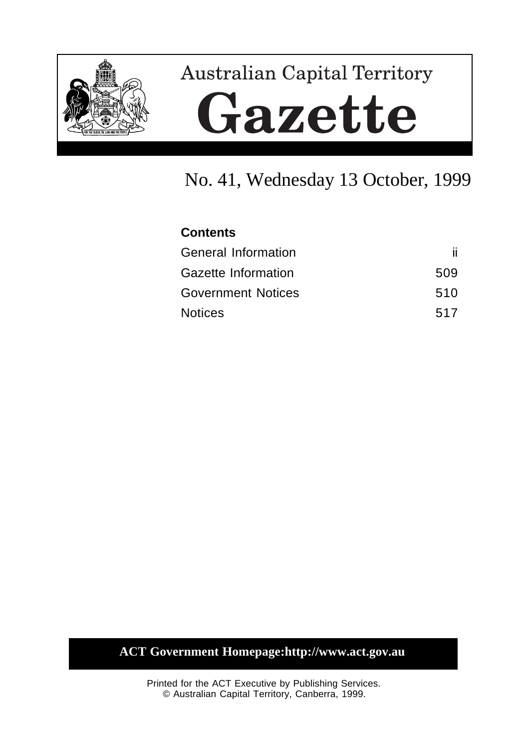

# **Australian Capital Territory** Gazette

# No. 41, Wednesday 13 October, 1999

| <b>Contents</b>            |     |
|----------------------------|-----|
| <b>General Information</b> | ii. |
| <b>Gazette Information</b> | 509 |
| <b>Government Notices</b>  | 510 |
| <b>Notices</b>             | 517 |

# **ACT Government Homepage:http://www.act.gov.au**

Printed for the ACT Executive by Publishing Services. © Australian Capital Territory, Canberra, 1999.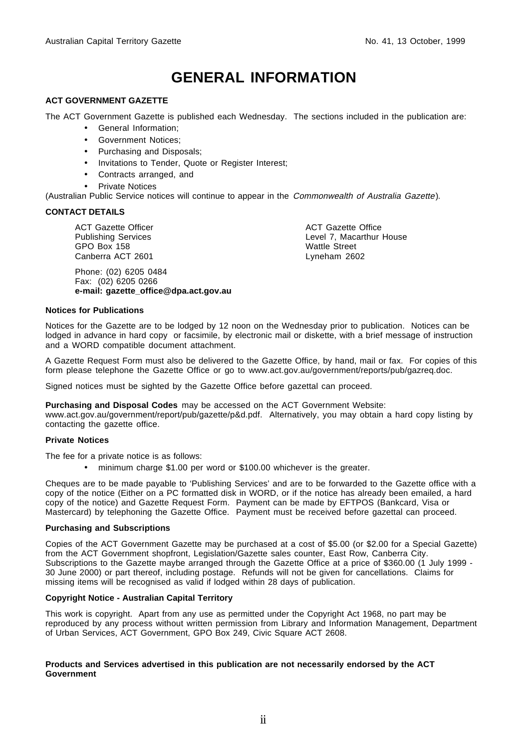# **GENERAL INFORMATION**

#### **ACT GOVERNMENT GAZETTE**

The ACT Government Gazette is published each Wednesday. The sections included in the publication are:

- General Information;
- Government Notices;
- Purchasing and Disposals;
- Invitations to Tender, Quote or Register Interest;
- Contracts arranged, and
- **Private Notices**

(Australian Public Service notices will continue to appear in the Commonwealth of Australia Gazette).

#### **CONTACT DETAILS**

ACT Gazette Officer Publishing Services GPO Box 158 Canberra ACT 2601

Phone: (02) 6205 0484 Fax: (02) 6205 0266 **e-mail: gazette\_office@dpa.act.gov.au**

ACT Gazette Office Level 7, Macarthur House Wattle Street Lyneham 2602

#### **Notices for Publications**

Notices for the Gazette are to be lodged by 12 noon on the Wednesday prior to publication. Notices can be lodged in advance in hard copy or facsimile, by electronic mail or diskette, with a brief message of instruction and a WORD compatible document attachment.

A Gazette Request Form must also be delivered to the Gazette Office, by hand, mail or fax. For copies of this form please telephone the Gazette Office or go to www.act.gov.au/government/reports/pub/gazreq.doc.

Signed notices must be sighted by the Gazette Office before gazettal can proceed.

#### **Purchasing and Disposal Codes** may be accessed on the ACT Government Website:

www.act.gov.au/government/report/pub/gazette/p&d.pdf. Alternatively, you may obtain a hard copy listing by contacting the gazette office.

#### **Private Notices**

The fee for a private notice is as follows:

• minimum charge \$1.00 per word or \$100.00 whichever is the greater.

Cheques are to be made payable to 'Publishing Services' and are to be forwarded to the Gazette office with a copy of the notice (Either on a PC formatted disk in WORD, or if the notice has already been emailed, a hard copy of the notice) and Gazette Request Form. Payment can be made by EFTPOS (Bankcard, Visa or Mastercard) by telephoning the Gazette Office. Payment must be received before gazettal can proceed.

#### **Purchasing and Subscriptions**

Copies of the ACT Government Gazette may be purchased at a cost of \$5.00 (or \$2.00 for a Special Gazette) from the ACT Government shopfront, Legislation/Gazette sales counter, East Row, Canberra City. Subscriptions to the Gazette maybe arranged through the Gazette Office at a price of \$360.00 (1 July 1999 -30 June 2000) or part thereof, including postage. Refunds will not be given for cancellations. Claims for missing items will be recognised as valid if lodged within 28 days of publication.

#### **Copyright Notice - Australian Capital Territory**

This work is copyright. Apart from any use as permitted under the Copyright Act 1968, no part may be reproduced by any process without written permission from Library and Information Management, Department of Urban Services, ACT Government, GPO Box 249, Civic Square ACT 2608.

#### **Products and Services advertised in this publication are not necessarily endorsed by the ACT Government**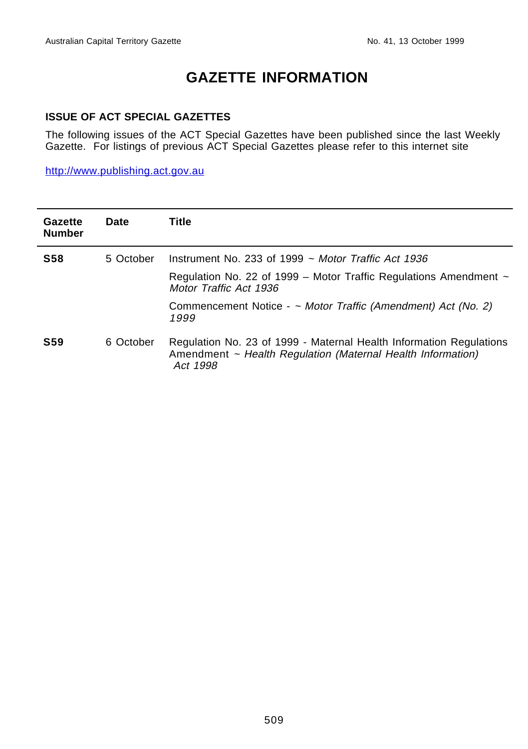# **GAZETTE INFORMATION**

#### **ISSUE OF ACT SPECIAL GAZETTES**

The following issues of the ACT Special Gazettes have been published since the last Weekly Gazette. For listings of previous ACT Special Gazettes please refer to this internet site

http://www.publishing.act.gov.au

| Gazette<br><b>Number</b> | Date      | Title                                                                                                                                          |
|--------------------------|-----------|------------------------------------------------------------------------------------------------------------------------------------------------|
| <b>S58</b>               | 5 October | Instrument No. 233 of 1999 $\sim$ Motor Traffic Act 1936                                                                                       |
|                          |           | Regulation No. 22 of 1999 – Motor Traffic Regulations Amendment $\sim$<br>Motor Traffic Act 1936                                               |
|                          |           | Commencement Notice - ~ Motor Traffic (Amendment) Act (No. 2)<br>1999                                                                          |
| <b>S59</b>               | 6 October | Regulation No. 23 of 1999 - Maternal Health Information Regulations<br>Amendment ~ Health Regulation (Maternal Health Information)<br>Act 1998 |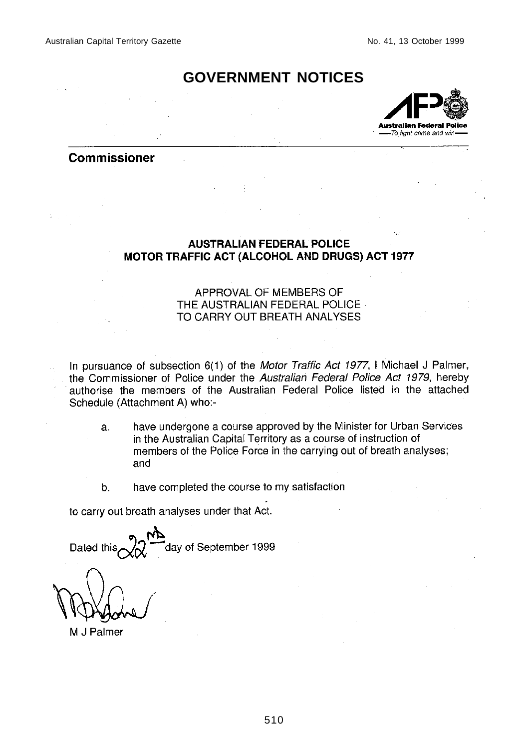## **GOVERNMENT NOTICES**



#### **Commissioner**

#### **AUSTRALIAN FEDERAL POLICE MOTOR TRAFFIC ACT (ALCOHOL AND DRUGS) ACT 1977**

#### APPROVAL OF MEMBERS OF THE AUSTRALIAN FEDERAL POLICE TO CARRY OUT BREATH ANALYSES

In pursuance of subsection 6(1) of the Motor Traffic Act 1977, I Michael J Palmer, the Commissioner of Police under the Australian Federal Police Act 1979, hereby authorise the members of the Australian Federal Police listed in the attached Schedule (Attachment A) who:-

- have undergone a course approved by the Minister for Urban Services a. in the Australian Capital Territory as a course of instruction of members of the Police Force in the carrying out of breath analyses; and
- b. have completed the course to my satisfaction

to carry out breath analyses under that Act.

day of September 1999 Dated this

M J Palmer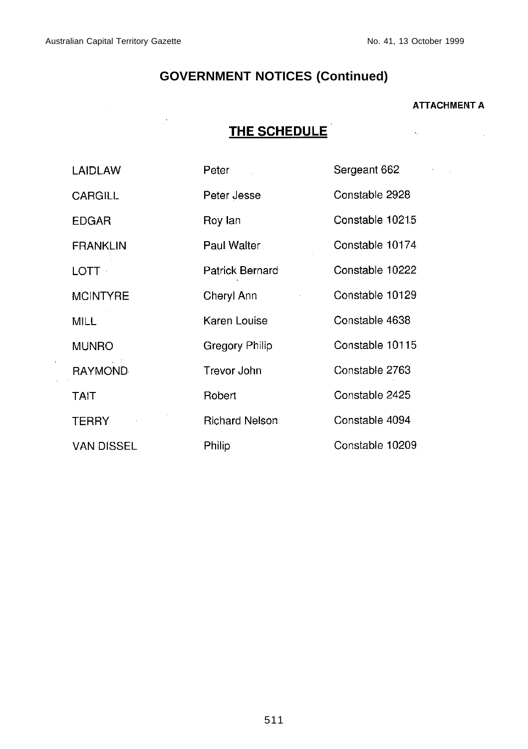$\mathcal{A}$  $\bar{\bar{z}}$   $\mathbb{R}^d$ 

 $\label{eq:2} \frac{1}{\sqrt{2}}\left(\frac{1}{\sqrt{2}}\right)^{2} \frac{1}{\sqrt{2}}\left(\frac{1}{\sqrt{2}}\right)^{2}$ 

# **GOVERNMENT NOTICES (Continued)**

#### **ATTACHMENT A**

 $\mathcal{L}^{\text{max}}_{\text{max}}$  , where  $\mathcal{L}^{\text{max}}_{\text{max}}$ 

# THE SCHEDULE

| LAIDLAW           | Peter                 | Sergeant 662    |
|-------------------|-----------------------|-----------------|
| <b>CARGILL</b>    | Peter Jesse           | Constable 2928  |
| <b>EDGAR</b>      | Roy lan               | Constable 10215 |
| <b>FRANKLIN</b>   | Paul Walter           | Constable 10174 |
| <b>LOTT</b>       | Patrick Bernard       | Constable 10222 |
| <b>MCINTYRE</b>   | Cheryl Ann            | Constable 10129 |
| MILL.             | Karen Louise          | Constable 4638  |
| <b>MUNRO</b>      | Gregory Philip        | Constable 10115 |
| <b>RAYMOND</b>    | Trevor John           | Constable 2763  |
| TAIT              | Robert                | Constable 2425  |
| <b>TERRY</b>      | <b>Richard Nelson</b> | Constable 4094  |
| <b>VAN DISSEL</b> | Philip                | Constable 10209 |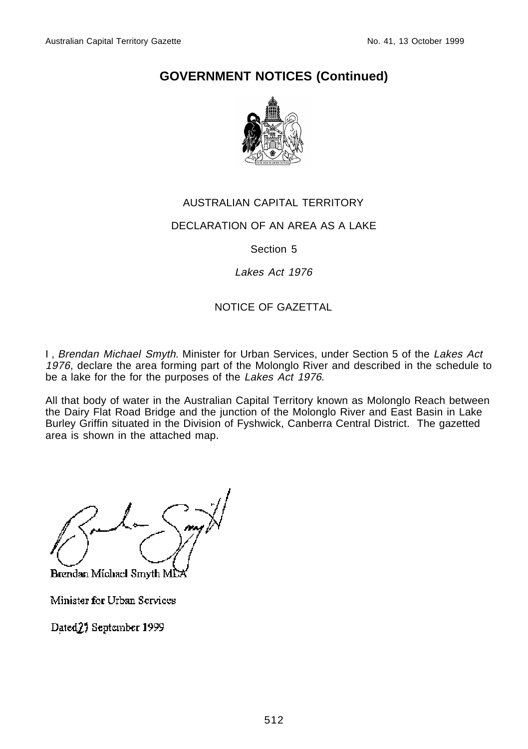

#### AUSTRALIAN CAPITAL TERRITORY

#### DECLARATION OF AN AREA AS A LAKE

#### Section 5

#### Lakes Act 1976

#### NOTICE OF GAZETTAL

I, Brendan Michael Smyth. Minister for Urban Services, under Section 5 of the Lakes Act 1976, declare the area forming part of the Molonglo River and described in the schedule to be a lake for the for the purposes of the Lakes Act 1976.

All that body of water in the Australian Capital Territory known as Molonglo Reach between the Dairy Flat Road Bridge and the junction of the Molonglo River and East Basin in Lake Burley Griffin situated in the Division of Fyshwick, Canberra Central District. The gazetted area is shown in the attached map.

 $\Psi$  and  $\Psi$ 

Brendan Michael Smyth MD.

Minister for Urban Services

Dated<sub>2</sub>) September 1999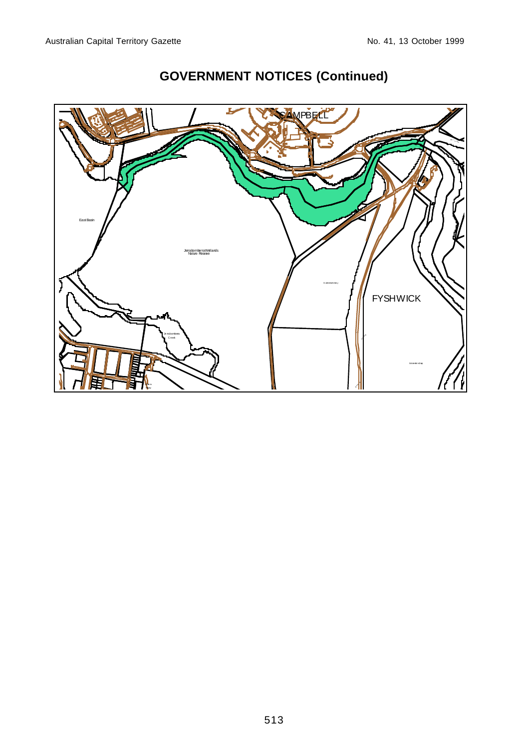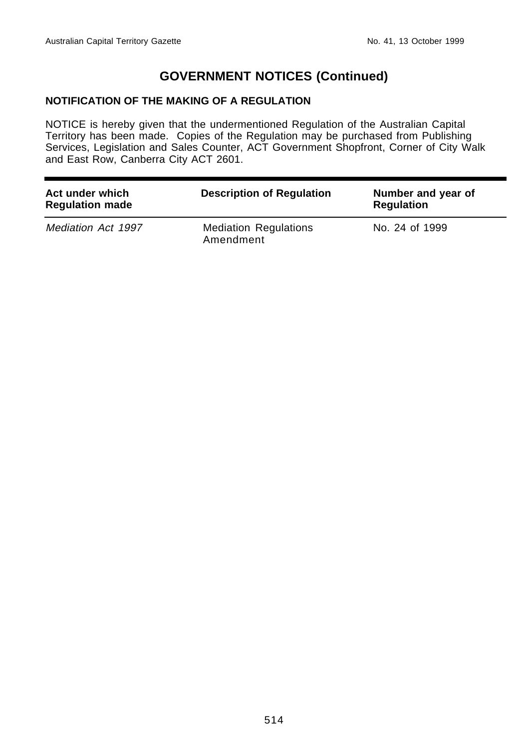#### **NOTIFICATION OF THE MAKING OF A REGULATION**

NOTICE is hereby given that the undermentioned Regulation of the Australian Capital Territory has been made. Copies of the Regulation may be purchased from Publishing Services, Legislation and Sales Counter, ACT Government Shopfront, Corner of City Walk and East Row, Canberra City ACT 2601.

| Act under which<br><b>Regulation made</b> | <b>Description of Regulation</b>          | Number and year of<br><b>Regulation</b> |
|-------------------------------------------|-------------------------------------------|-----------------------------------------|
| Mediation Act 1997                        | <b>Mediation Regulations</b><br>Amendment | No. 24 of 1999                          |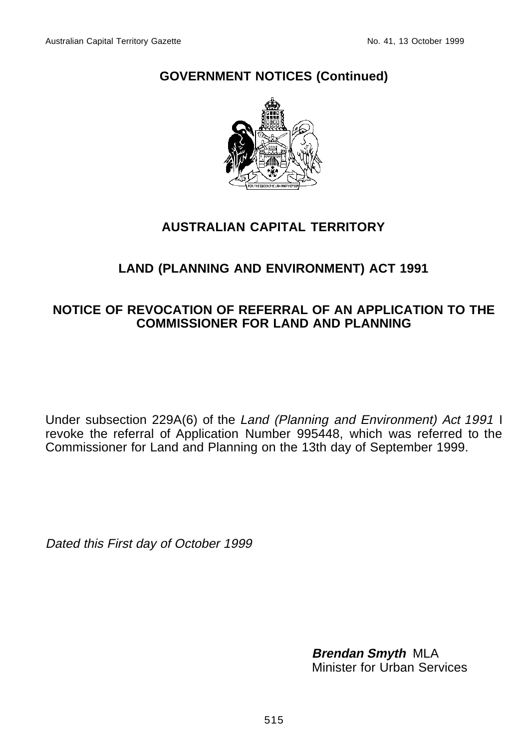

# **AUSTRALIAN CAPITAL TERRITORY**

# **LAND (PLANNING AND ENVIRONMENT) ACT 1991**

## **NOTICE OF REVOCATION OF REFERRAL OF AN APPLICATION TO THE COMMISSIONER FOR LAND AND PLANNING**

Under subsection 229A(6) of the Land (Planning and Environment) Act 1991 I revoke the referral of Application Number 995448, which was referred to the Commissioner for Land and Planning on the 13th day of September 1999.

Dated this First day of October 1999

**Brendan Smyth** MLA Minister for Urban Services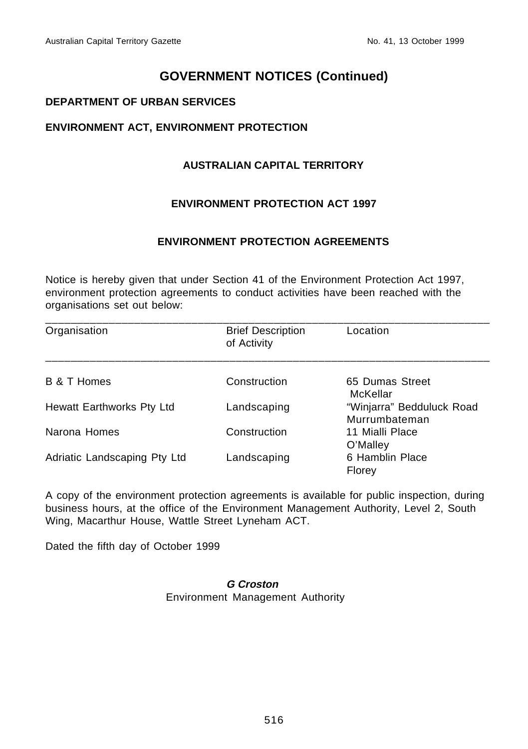#### **DEPARTMENT OF URBAN SERVICES**

#### **ENVIRONMENT ACT, ENVIRONMENT PROTECTION**

#### **AUSTRALIAN CAPITAL TERRITORY**

#### **ENVIRONMENT PROTECTION ACT 1997**

#### **ENVIRONMENT PROTECTION AGREEMENTS**

Notice is hereby given that under Section 41 of the Environment Protection Act 1997, environment protection agreements to conduct activities have been reached with the organisations set out below:

| Organisation                 | <b>Brief Description</b><br>of Activity | Location                                   |
|------------------------------|-----------------------------------------|--------------------------------------------|
|                              |                                         |                                            |
| B & T Homes                  | Construction                            | 65 Dumas Street<br>McKellar                |
| Hewatt Earthworks Pty Ltd    | Landscaping                             | "Winjarra" Bedduluck Road<br>Murrumbateman |
| Narona Homes                 | Construction                            | 11 Mialli Place<br>O'Malley                |
| Adriatic Landscaping Pty Ltd | Landscaping                             | 6 Hamblin Place<br>Florev                  |

A copy of the environment protection agreements is available for public inspection, during business hours, at the office of the Environment Management Authority, Level 2, South Wing, Macarthur House, Wattle Street Lyneham ACT.

Dated the fifth day of October 1999

#### **G Croston** Environment Management Authority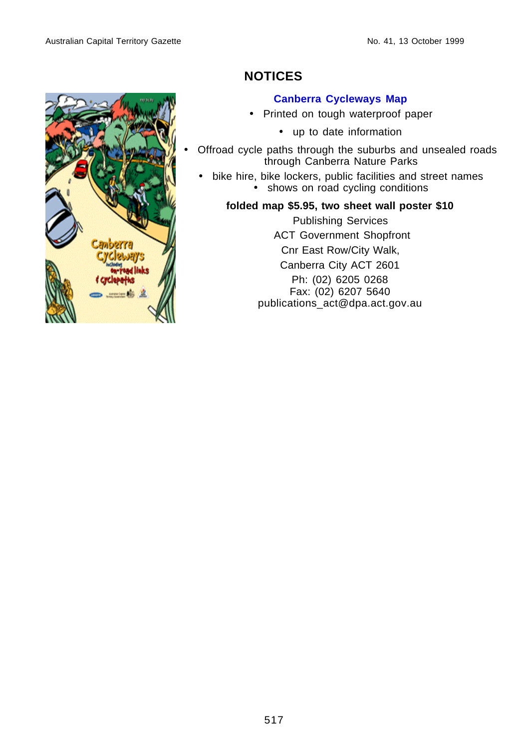

# **NOTICES**

#### **Canberra Cycleways Map**

- Printed on tough waterproof paper
	- up to date information
- Offroad cycle paths through the suburbs and unsealed roads through Canberra Nature Parks
	- bike hire, bike lockers, public facilities and street names • shows on road cycling conditions

#### **folded map \$5.95, two sheet wall poster \$10**

Publishing Services ACT Government Shopfront Cnr East Row/City Walk, Canberra City ACT 2601 Ph: (02) 6205 0268 Fax: (02) 6207 5640 publications\_act@dpa.act.gov.au